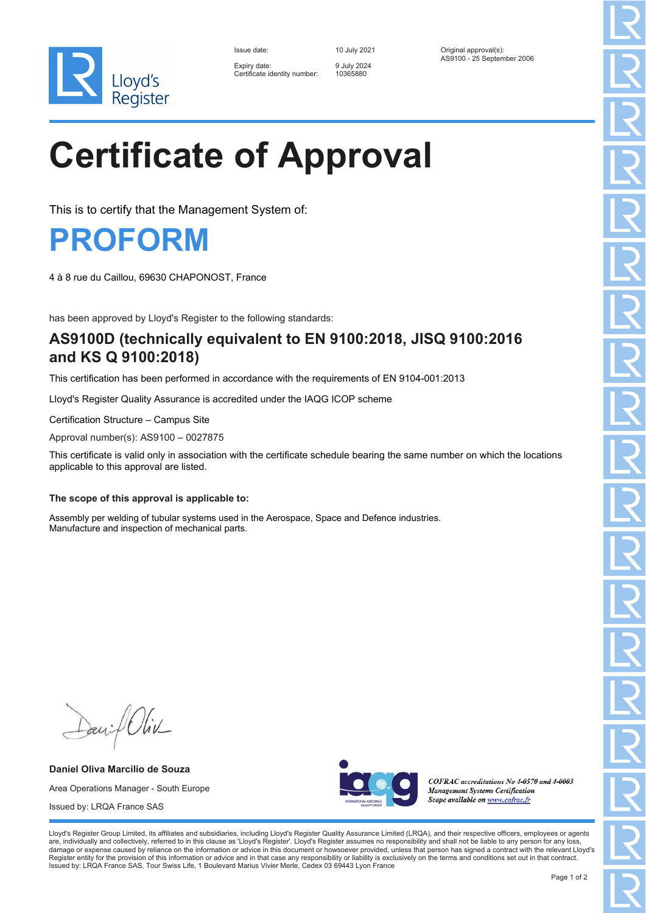

| Issue date:                               |
|-------------------------------------------|
| Expiry date:<br>Certificate identity numb |

Expiry date: 9 July 2024 er: 10365880

Issue date: 10 July 2021 Original approval(s): AS9100 - 25 September 2006

# **Certificate of Approval**

This is to certify that the Management System of:

### **PROFORM**

4 à 8 rue du Caillou, 69630 CHAPONOST, France

has been approved by Lloyd's Register to the following standards:

### **AS9100D (technically equivalent to EN 9100:2018, JISQ 9100:2016 and KS Q 9100:2018)**

This certification has been performed in accordance with the requirements of EN 9104-001:2013

Lloyd's Register Quality Assurance is accredited under the IAQG ICOP scheme

Certification Structure – Campus Site

Approval number(s): AS9100 – 0027875

This certificate is valid only in association with the certificate schedule bearing the same number on which the locations applicable to this approval are listed.

#### **The scope of this approval is applicable to:**

Assembly per welding of tubular systems used in the Aerospace, Space and Defence industries. Manufacture and inspection of mechanical parts.

Daniel Oliv

**Daniel Oliva Marcilio de Souza** Area Operations Manager - South Europe Issued by: LRQA France SAS



COFRAC accreditations No 4-0570 and 4-0003 **Management Systems Certification** Scope available on www.cofrac.fr

Lloyd's Register Group Limited, its affiliates and subsidiaries, including Lloyd's Register Quality Assurance Limited (LRQA), and their respective officers, employees or agents are, individually and collectively, referred to in this clause as 'Lloyd's Register'. Lloyd's Register assumes no responsibility and shall not be liable to any person for any loss,<br>damage or expense caused by reliance on t Register entity for the provision of this information or advice and in that case any responsibility or liability is exclusively on the terms and conditions set out in that contract. Issued by: LRQA France SAS, Tour Swiss Life, 1 Boulevard Marius Vivier Merle, Cedex 03 69443 Lyon France